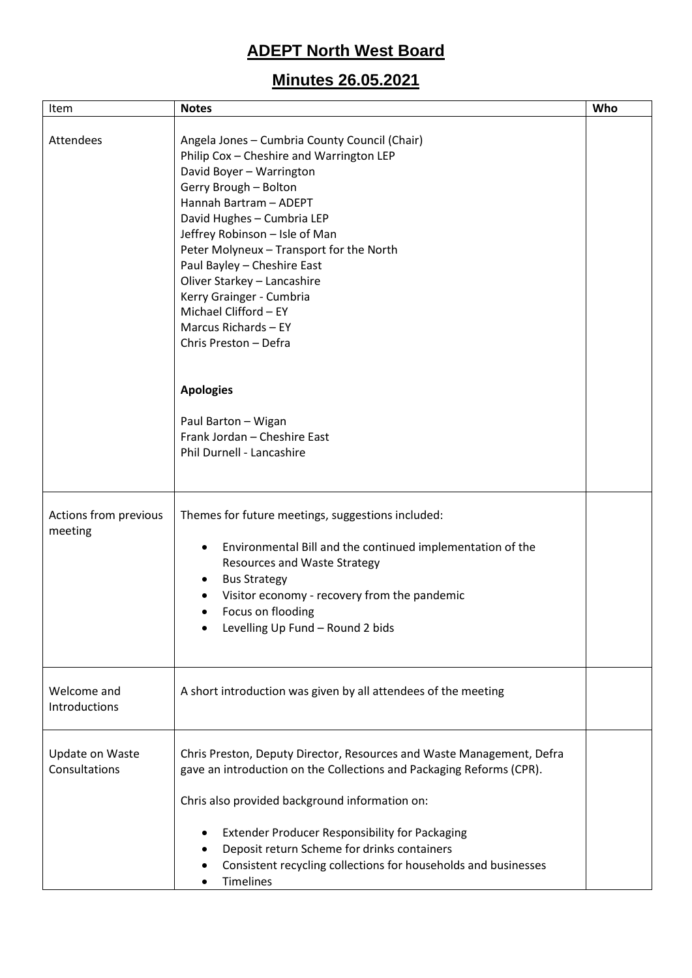# **ADEPT North West Board**

## **Minutes 26.05.2021**

| Item                             | <b>Notes</b>                                                                                                                                                                                                                                                                                                                                                                                                                                             | Who |
|----------------------------------|----------------------------------------------------------------------------------------------------------------------------------------------------------------------------------------------------------------------------------------------------------------------------------------------------------------------------------------------------------------------------------------------------------------------------------------------------------|-----|
| Attendees                        | Angela Jones - Cumbria County Council (Chair)<br>Philip Cox - Cheshire and Warrington LEP<br>David Boyer - Warrington<br>Gerry Brough - Bolton<br>Hannah Bartram - ADEPT<br>David Hughes - Cumbria LEP<br>Jeffrey Robinson - Isle of Man<br>Peter Molyneux - Transport for the North<br>Paul Bayley - Cheshire East<br>Oliver Starkey - Lancashire<br>Kerry Grainger - Cumbria<br>Michael Clifford - EY<br>Marcus Richards - EY<br>Chris Preston - Defra |     |
|                                  | <b>Apologies</b><br>Paul Barton - Wigan<br>Frank Jordan - Cheshire East<br>Phil Durnell - Lancashire                                                                                                                                                                                                                                                                                                                                                     |     |
| Actions from previous<br>meeting | Themes for future meetings, suggestions included:<br>Environmental Bill and the continued implementation of the<br><b>Resources and Waste Strategy</b><br><b>Bus Strategy</b><br>Visitor economy - recovery from the pandemic<br>Focus on flooding<br>Levelling Up Fund - Round 2 bids                                                                                                                                                                   |     |
| Welcome and<br>Introductions     | A short introduction was given by all attendees of the meeting                                                                                                                                                                                                                                                                                                                                                                                           |     |
| Update on Waste<br>Consultations | Chris Preston, Deputy Director, Resources and Waste Management, Defra<br>gave an introduction on the Collections and Packaging Reforms (CPR).<br>Chris also provided background information on:<br>Extender Producer Responsibility for Packaging<br>Deposit return Scheme for drinks containers<br>Consistent recycling collections for households and businesses<br><b>Timelines</b>                                                                   |     |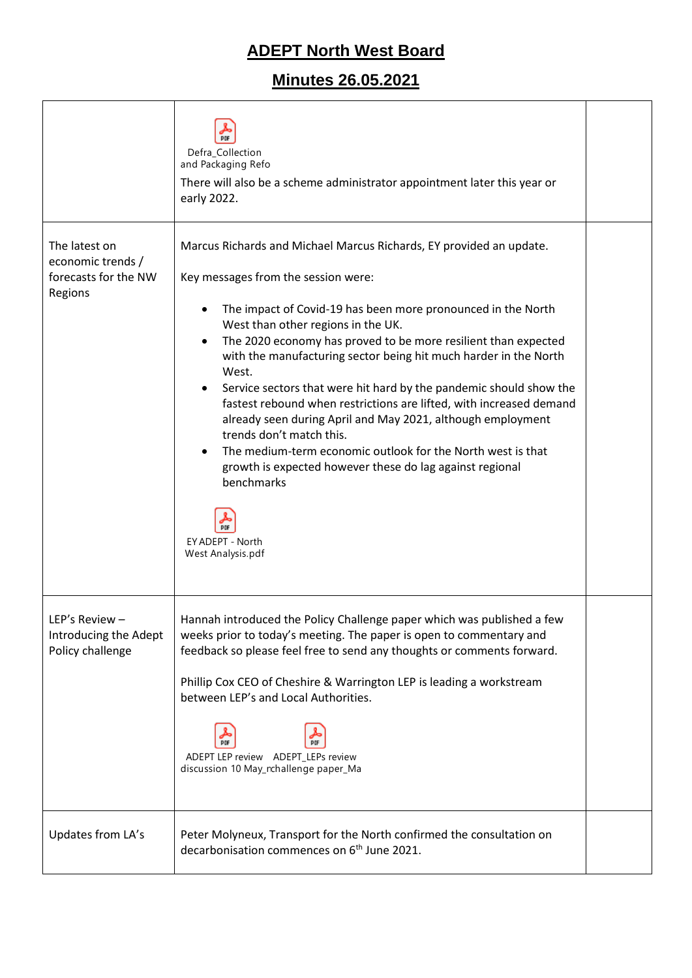# **ADEPT North West Board**

## **Minutes 26.05.2021**

|                                                                       | Defra_Collection<br>and Packaging Refo<br>There will also be a scheme administrator appointment later this year or<br>early 2022.                                                                                                                                                                                                                                                                                                                                                                                                                                                                                                                                                                                                                                                                       |  |
|-----------------------------------------------------------------------|---------------------------------------------------------------------------------------------------------------------------------------------------------------------------------------------------------------------------------------------------------------------------------------------------------------------------------------------------------------------------------------------------------------------------------------------------------------------------------------------------------------------------------------------------------------------------------------------------------------------------------------------------------------------------------------------------------------------------------------------------------------------------------------------------------|--|
| The latest on<br>economic trends /<br>forecasts for the NW<br>Regions | Marcus Richards and Michael Marcus Richards, EY provided an update.<br>Key messages from the session were:<br>The impact of Covid-19 has been more pronounced in the North<br>West than other regions in the UK.<br>The 2020 economy has proved to be more resilient than expected<br>with the manufacturing sector being hit much harder in the North<br>West.<br>Service sectors that were hit hard by the pandemic should show the<br>fastest rebound when restrictions are lifted, with increased demand<br>already seen during April and May 2021, although employment<br>trends don't match this.<br>The medium-term economic outlook for the North west is that<br>growth is expected however these do lag against regional<br>benchmarks<br><b>PDF</b><br>EY ADEPT - North<br>West Analysis.pdf |  |
| LEP's Review -<br>Introducing the Adept<br>Policy challenge           | Hannah introduced the Policy Challenge paper which was published a few<br>weeks prior to today's meeting. The paper is open to commentary and<br>feedback so please feel free to send any thoughts or comments forward.<br>Phillip Cox CEO of Cheshire & Warrington LEP is leading a workstream<br>between LEP's and Local Authorities.<br>ADEPT LEP review ADEPT LEPs review<br>discussion 10 May_rchallenge paper_Ma                                                                                                                                                                                                                                                                                                                                                                                  |  |
| Updates from LA's                                                     | Peter Molyneux, Transport for the North confirmed the consultation on<br>decarbonisation commences on 6 <sup>th</sup> June 2021.                                                                                                                                                                                                                                                                                                                                                                                                                                                                                                                                                                                                                                                                        |  |